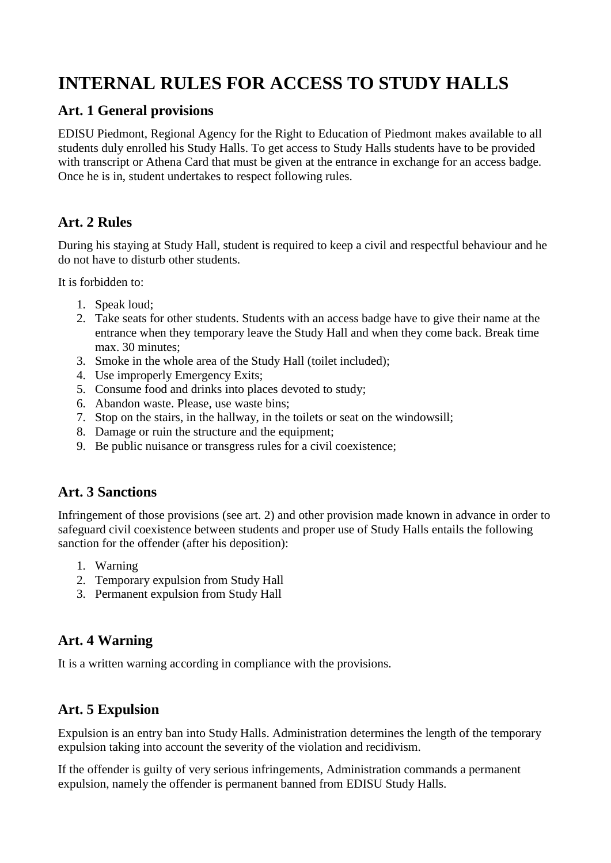# **INTERNAL RULES FOR ACCESS TO STUDY HALLS**

### **Art. 1 General provisions**

EDISU Piedmont, Regional Agency for the Right to Education of Piedmont makes available to all students duly enrolled his Study Halls. To get access to Study Halls students have to be provided with transcript or Athena Card that must be given at the entrance in exchange for an access badge. Once he is in, student undertakes to respect following rules.

## **Art. 2 Rules**

During his staying at Study Hall, student is required to keep a civil and respectful behaviour and he do not have to disturb other students.

It is forbidden to:

- 1. Speak loud;
- 2. Take seats for other students. Students with an access badge have to give their name at the entrance when they temporary leave the Study Hall and when they come back. Break time max. 30 minutes;
- 3. Smoke in the whole area of the Study Hall (toilet included);
- 4. Use improperly Emergency Exits;
- 5. Consume food and drinks into places devoted to study;
- 6. Abandon waste. Please, use waste bins;
- 7. Stop on the stairs, in the hallway, in the toilets or seat on the windowsill;
- 8. Damage or ruin the structure and the equipment;
- 9. Be public nuisance or transgress rules for a civil coexistence;

### **Art. 3 Sanctions**

Infringement of those provisions (see art. 2) and other provision made known in advance in order to safeguard civil coexistence between students and proper use of Study Halls entails the following sanction for the offender (after his deposition):

- 1. Warning
- 2. Temporary expulsion from Study Hall
- 3. Permanent expulsion from Study Hall

### **Art. 4 Warning**

It is a written warning according in compliance with the provisions.

### **Art. 5 Expulsion**

Expulsion is an entry ban into Study Halls. Administration determines the length of the temporary expulsion taking into account the severity of the violation and recidivism.

If the offender is guilty of very serious infringements, Administration commands a permanent expulsion, namely the offender is permanent banned from EDISU Study Halls.